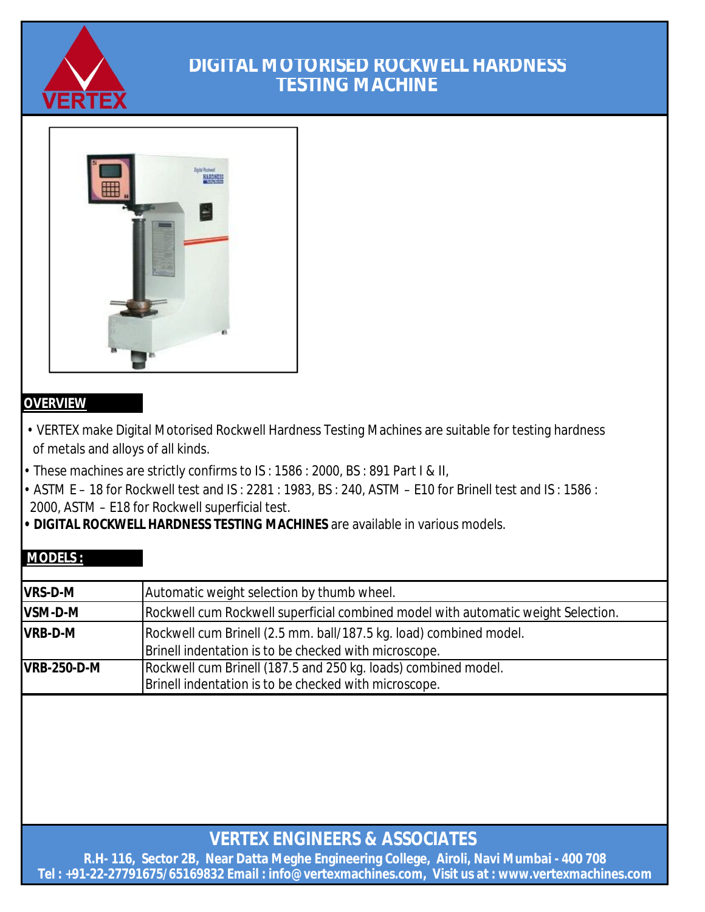

## **DIGITAL MOTORISED ROCKWELL HARDNESS TESTING MACHINE**



### **OVERVIEW**

- VERTEX make Digital Motorised Rockwell Hardness Testing Machines are suitable for testing hardness of metals and alloys of all kinds.
- These machines are strictly confirms to IS : 1586 : 2000, BS : 891 Part I & II,
- ASTM E 18 for Rockwell test and IS : 2281 : 1983, BS : 240, ASTM E10 for Brinell test and IS : 1586 : 2000, ASTM – E18 for Rockwell superficial test.
- **DIGITAL ROCKWELL HARDNESS TESTING MACHINES** are available in various models.

### **MODELS :**

| <b>VRS-D-M</b>     | Automatic weight selection by thumb wheel.                                                                                  |
|--------------------|-----------------------------------------------------------------------------------------------------------------------------|
| VSM-D-M            | Rockwell cum Rockwell superficial combined model with automatic weight Selection.                                           |
| <b>VRB-D-M</b>     | Rockwell cum Brinell (2.5 mm. ball/187.5 kg. load) combined model.<br>Brinell indentation is to be checked with microscope. |
| <b>VRB-250-D-M</b> | Rockwell cum Brinell (187.5 and 250 kg. loads) combined model.<br>Brinell indentation is to be checked with microscope.     |

**VERTEX ENGINEERS & ASSOCIATES** 

**R.H- 116, Sector 2B, Near Datta Meghe Engineering College, Airoli, Navi Mumbai - 400 708 Tel : +91-22-27791675/65169832 Email : info@vertexmachines.com, Visit us at : www.vertexmachines.com**